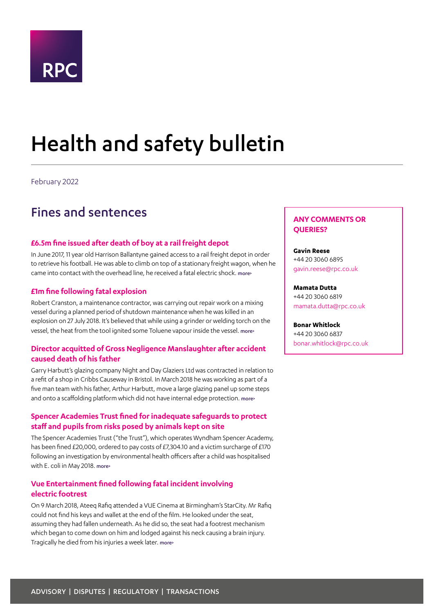

# <span id="page-0-0"></span>Health and safety bulletin

February 2022

# Fines and sentences

# **£6.5m fine issued after death of boy at a rail freight depot**

In June 2017, 11 year old Harrison Ballantyne gained access to a rail freight depot in order to retrieve his football. He was able to climb on top of a stationary freight wagon, when he came into contact with the overhead line, he received a fatal electric shock. [more>](#page-3-0)

# **£1m fine following fatal explosion**

Robert Cranston, a maintenance contractor, was carrying out repair work on a mixing vessel during a planned period of shutdown maintenance when he was killed in an explosion on 27 July 2018. It's believed that while using a grinder or welding torch on the vessel, the heat from the tool ignited some Toluene vapour inside the vessel. [more>](#page-3-1)

# **Director acquitted of Gross Negligence Manslaughter after accident caused death of his father**

Garry Harbutt's glazing company Night and Day Glaziers Ltd was contracted in relation to a refit of a shop in Cribbs Causeway in Bristol. In March 2018 he was working as part of a five man team with his father, Arthur Harbutt, move a large glazing panel up some steps and onto a scaffolding platform which did not have internal edge protection. [more>](#page-4-0)

# **Spencer Academies Trust fined for inadequate safeguards to protect staff and pupils from risks posed by animals kept on site**

The Spencer Academies Trust ("the Trust"), which operates Wyndham Spencer Academy, has been fined £20,000, ordered to pay costs of £7,304.10 and a victim surcharge of £170 following an investigation by environmental health officers after a child was hospitalised with E. coli in May 2018. [more>](#page-4-1)

# **Vue Entertainment fined following fatal incident involving electric footrest**

On 9 March 2018, Ateeq Rafiq attended a VUE Cinema at Birmingham's StarCity. Mr Rafiq could not find his keys and wallet at the end of the film. He looked under the seat, assuming they had fallen underneath. As he did so, the seat had a footrest mechanism which began to come down on him and lodged against his neck causing a brain injury. Tragically he died from his injuries a week later. more>

# **ANY COMMENTS OR QUERIES?**

#### **Gavin Reese**

+44 20 3060 6895 gavin.reese@rpc.co.uk

#### **Mamata Dutta**

+44 20 3060 6819 mamata.dutta@rpc.co.uk

#### **Bonar Whitlock**

+44 20 3060 6837 bonar.whitlock@rpc.co.uk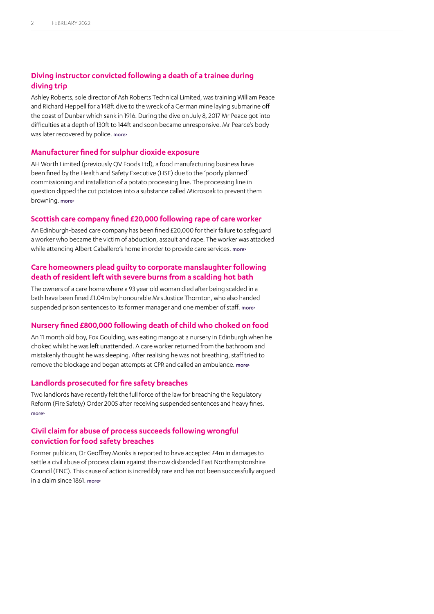# **Diving instructor convicted following a death of a trainee during diving trip**

Ashley Roberts, sole director of Ash Roberts Technical Limited, was training William Peace and Richard Heppell for a 148ft dive to the wreck of a German mine laying submarine off the coast of Dunbar which sank in 1916. During the dive on July 8, 2017 Mr Peace got into difficulties at a depth of 130ft to 144ft and soon became unresponsive. Mr Pearce's body was later recovered by police. [more>](#page-5-0)

### **Manufacturer fined for sulphur dioxide exposure**

AH Worth Limited (previously QV Foods Ltd), a food manufacturing business have been fined by the Health and Safety Executive (HSE) due to the 'poorly planned' commissioning and installation of a potato processing line. The processing line in question dipped the cut potatoes into a substance called Microsoak to prevent them browning. [more>](#page-6-0)

## **Scottish care company fined £20,000 following rape of care worker**

An Edinburgh-based care company has been fined £20,000 for their failure to safeguard a worker who became the victim of abduction, assault and rape. The worker was attacked while attending Albert Caballero's home in order to provide care services. more>

# **Care homeowners plead guilty to corporate manslaughter following death of resident left with severe burns from a scalding hot bath**

The owners of a care home where a 93 year old woman died after being scalded in a bath have been fined £1.04m by honourable Mrs Justice Thornton, who also handed suspended prison sentences to its former manager and one member of staff. [more>](#page-7-0)

# **Nursery fined £800,000 following death of child who choked on food**

An 11 month old boy, Fox Goulding, was eating mango at a nursery in Edinburgh when he choked whilst he was left unattended. A care worker returned from the bathroom and mistakenly thought he was sleeping. After realising he was not breathing, staff tried to remove the blockage and began attempts at CPR and called an ambulance. more>

# **Landlords prosecuted for fire safety breaches**

Two landlords have recently felt the full force of the law for breaching the Regulatory Reform (Fire Safety) Order 2005 after receiving suspended sentences and heavy fines. [more>](#page-7-1)

# **Civil claim for abuse of process succeeds following wrongful conviction for food safety breaches**

Former publican, Dr Geoffrey Monks is reported to have accepted £4m in damages to settle a civil abuse of process claim against the now disbanded East Northamptonshire Council (ENC). This cause of action is incredibly rare and has not been successfully argued in a claim since 1861. [more>](#page-8-0)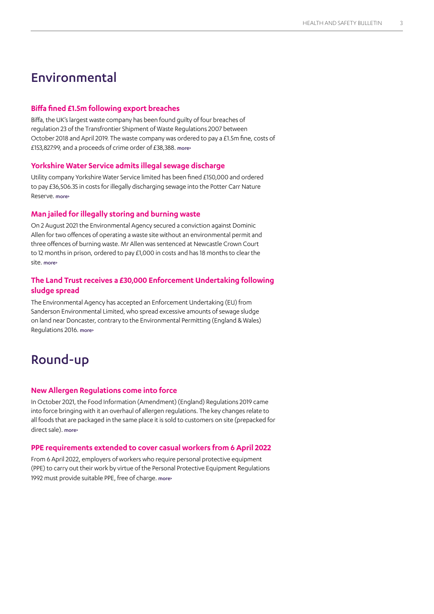# Environmental

# **Biffa fined £1.5m following export breaches**

Biffa, the UK's largest waste company has been found guilty of four breaches of regulation 23 of the Transfrontier Shipment of Waste Regulations 2007 between October 2018 and April 2019. The waste company was ordered to pay a £1.5m fine, costs of £153,827.99, and a proceeds of crime order of £38,388. more>

# **Yorkshire Water Service admits illegal sewage discharge**

Utility company Yorkshire Water Service limited has been fined £150,000 and ordered to pay £36,506.35 in costs for illegally discharging sewage into the Potter Carr Nature Reserve. [more>](#page-9-0)

## **Man jailed for illegally storing and burning waste**

On 2 August 2021 the Environmental Agency secured a conviction against Dominic Allen for two offences of operating a waste site without an environmental permit and three offences of burning waste. Mr Allen was sentenced at Newcastle Crown Court to 12 months in prison, ordered to pay £1,000 in costs and has 18 months to clear the site. [more>](#page-9-1)

# **The Land Trust receives a £30,000 Enforcement Undertaking following sludge spread**

The Environmental Agency has accepted an Enforcement Undertaking (EU) from Sanderson Environmental Limited, who spread excessive amounts of sewage sludge on land near Doncaster, contrary to the Environmental Permitting (England & Wales) Regulations 2016. more>

# Round-up

# **New Allergen Regulations come into force**

In October 2021, the Food Information (Amendment) (England) Regulations 2019 came into force bringing with it an overhaul of allergen regulations. The key changes relate to all foods that are packaged in the same place it is sold to customers on site (prepacked for direct sale). [more>](#page-11-0)

#### **PPE requirements extended to cover casual workers from 6 April 2022**

From 6 April 2022, employers of workers who require personal protective equipment (PPE) to carry out their work by virtue of the Personal Protective Equipment Regulations 1992 must provide suitable PPE, free of charge. [more>](#page-11-1)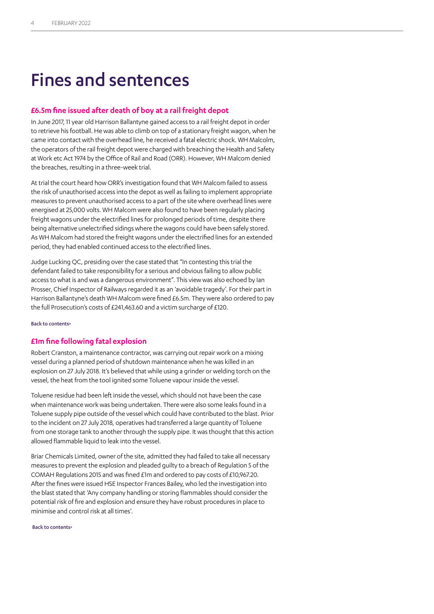# Fines and sentences

### <span id="page-3-0"></span>**£6.5m fine issued after death of boy at a rail freight depot**

In June 2017, 11 year old Harrison Ballantyne gained access to a rail freight depot in order to retrieve his football. He was able to climb on top of a stationary freight wagon, when he came into contact with the overhead line, he received a fatal electric shock. WH Malcolm, the operators of the rail freight depot were charged with breaching the Health and Safety at Work etc Act 1974 by the Office of Rail and Road (ORR). However, WH Malcom denied the breaches, resulting in a three-week trial.

At trial the court heard how ORR's investigation found that WH Malcom failed to assess the risk of unauthorised access into the depot as well as failing to implement appropriate measures to prevent unauthorised access to a part of the site where overhead lines were energised at 25,000 volts. WH Malcom were also found to have been regularly placing freight wagons under the electrified lines for prolonged periods of time, despite there being alternative unelectrified sidings where the wagons could have been safely stored. As WH Malcom had stored the freight wagons under the electrified lines for an extended period, they had enabled continued access to the electrified lines.

Judge Lucking QC, presiding over the case stated that "In contesting this trial the defendant failed to take responsibility for a serious and obvious failing to allow public access to what is and was a dangerous environment". This view was also echoed by Ian Prosser, Chief Inspector of Railways regarded it as an 'avoidable tragedy'. For their part in Harrison Ballantyne's death WH Malcom were fined £6.5m. They were also ordered to pay the full Prosecution's costs of £241,463.60 and a victim surcharge of £120.

[Back to contents>](#page-0-0)

# <span id="page-3-1"></span>**£1m fine following fatal explosion**

Robert Cranston, a maintenance contractor, was carrying out repair work on a mixing vessel during a planned period of shutdown maintenance when he was killed in an explosion on 27 July 2018. It's believed that while using a grinder or welding torch on the vessel, the heat from the tool ignited some Toluene vapour inside the vessel.

Toluene residue had been left inside the vessel, which should not have been the case when maintenance work was being undertaken. There were also some leaks found in a Toluene supply pipe outside of the vessel which could have contributed to the blast. Prior to the incident on 27 July 2018, operatives had transferred a large quantity of Toluene from one storage tank to another through the supply pipe. It was thought that this action allowed flammable liquid to leak into the vessel.

Briar Chemicals Limited, owner of the site, admitted they had failed to take all necessary measures to prevent the explosion and pleaded guilty to a breach of Regulation 5 of the COMAH Regulations 2015 and was fined £1m and ordered to pay costs of £10,967.20. After the fines were issued HSE Inspector Frances Bailey, who led the investigation into the blast stated that 'Any company handling or storing flammables should consider the potential risk of fire and explosion and ensure they have robust procedures in place to minimise and control risk at all times'.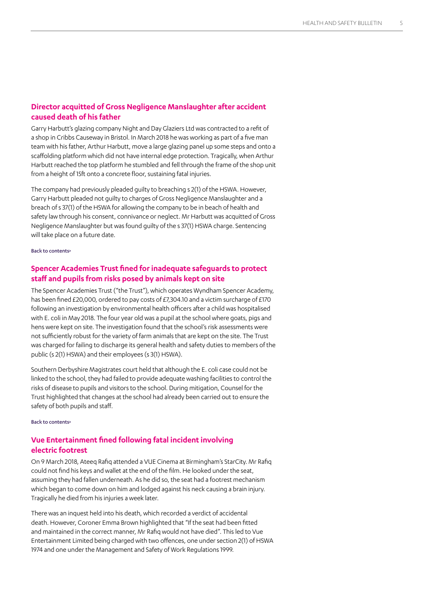# <span id="page-4-0"></span>**Director acquitted of Gross Negligence Manslaughter after accident caused death of his father**

Garry Harbutt's glazing company Night and Day Glaziers Ltd was contracted to a refit of a shop in Cribbs Causeway in Bristol. In March 2018 he was working as part of a five man team with his father, Arthur Harbutt, move a large glazing panel up some steps and onto a scaffolding platform which did not have internal edge protection. Tragically, when Arthur Harbutt reached the top platform he stumbled and fell through the frame of the shop unit from a height of 15ft onto a concrete floor, sustaining fatal injuries.

The company had previously pleaded guilty to breaching s 2(1) of the HSWA. However, Garry Harbutt pleaded not guilty to charges of Gross Negligence Manslaughter and a breach of s 37(1) of the HSWA for allowing the company to be in beach of health and safety law through his consent, connivance or neglect. Mr Harbutt was acquitted of Gross Negligence Manslaughter but was found guilty of the s 37(1) HSWA charge. Sentencing will take place on a future date.

#### [Back to contents>](#page-0-0)

# <span id="page-4-1"></span>**Spencer Academies Trust fined for inadequate safeguards to protect staff and pupils from risks posed by animals kept on site**

The Spencer Academies Trust ("the Trust"), which operates Wyndham Spencer Academy, has been fined £20,000, ordered to pay costs of £7,304.10 and a victim surcharge of £170 following an investigation by environmental health officers after a child was hospitalised with E. coli in May 2018. The four year old was a pupil at the school where goats, pigs and hens were kept on site. The investigation found that the school's risk assessments were not sufficiently robust for the variety of farm animals that are kept on the site. The Trust was charged for failing to discharge its general health and safety duties to members of the public (s 2(1) HSWA) and their employees (s 3(1) HSWA).

Southern Derbyshire Magistrates court held that although the E. coli case could not be linked to the school, they had failed to provide adequate washing facilities to control the risks of disease to pupils and visitors to the school. During mitigation, Counsel for the Trust highlighted that changes at the school had already been carried out to ensure the safety of both pupils and staff.

[Back to contents>](#page-0-0)

# **Vue Entertainment fined following fatal incident involving electric footrest**

On 9 March 2018, Ateeq Rafiq attended a VUE Cinema at Birmingham's StarCity. Mr Rafiq could not find his keys and wallet at the end of the film. He looked under the seat, assuming they had fallen underneath. As he did so, the seat had a footrest mechanism which began to come down on him and lodged against his neck causing a brain injury. Tragically he died from his injuries a week later.

There was an inquest held into his death, which recorded a verdict of accidental death. However, Coroner Emma Brown highlighted that "If the seat had been fitted and maintained in the correct manner, Mr Rafiq would not have died". This led to Vue Entertainment Limited being charged with two offences, one under section 2(1) of HSWA 1974 and one under the Management and Safety of Work Regulations 1999.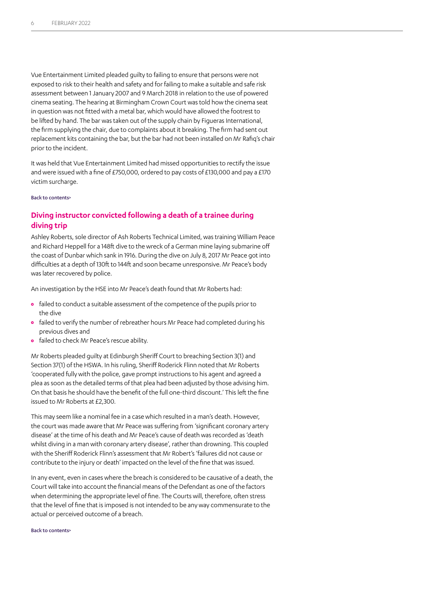Vue Entertainment Limited pleaded guilty to failing to ensure that persons were not exposed to risk to their health and safety and for failing to make a suitable and safe risk assessment between 1 January 2007 and 9 March 2018 in relation to the use of powered cinema seating. The hearing at Birmingham Crown Court was told how the cinema seat in question was not fitted with a metal bar, which would have allowed the footrest to be lifted by hand. The bar was taken out of the supply chain by Figueras International, the firm supplying the chair, due to complaints about it breaking. The firm had sent out replacement kits containing the bar, but the bar had not been installed on Mr Rafiq's chair prior to the incident.

It was held that Vue Entertainment Limited had missed opportunities to rectify the issue and were issued with a fine of £750,000, ordered to pay costs of £130,000 and pay a £170 victim surcharge.

[Back to contents>](#page-0-0)

# <span id="page-5-0"></span>**Diving instructor convicted following a death of a trainee during diving trip**

Ashley Roberts, sole director of Ash Roberts Technical Limited, was training William Peace and Richard Heppell for a 148ft dive to the wreck of a German mine laying submarine off the coast of Dunbar which sank in 1916. During the dive on July 8, 2017 Mr Peace got into difficulties at a depth of 130ft to 144ft and soon became unresponsive. Mr Peace's body was later recovered by police.

An investigation by the HSE into Mr Peace's death found that Mr Roberts had:

- **•** failed to conduct a suitable assessment of the competence of the pupils prior to the dive
- **•** failed to verify the number of rebreather hours Mr Peace had completed during his previous dives and
- **•** failed to check Mr Peace's rescue ability.

Mr Roberts pleaded guilty at Edinburgh Sheriff Court to breaching Section 3(1) and Section 37(1) of the HSWA. In his ruling, Sheriff Roderick Flinn noted that Mr Roberts 'cooperated fully with the police, gave prompt instructions to his agent and agreed a plea as soon as the detailed terms of that plea had been adjusted by those advising him. On that basis he should have the benefit of the full one-third discount.' This left the fine issued to Mr Roberts at £2,300.

This may seem like a nominal fee in a case which resulted in a man's death. However, the court was made aware that Mr Peace was suffering from 'significant coronary artery disease' at the time of his death and Mr Peace's cause of death was recorded as 'death whilst diving in a man with coronary artery disease', rather than drowning. This coupled with the Sheriff Roderick Flinn's assessment that Mr Robert's 'failures did not cause or contribute to the injury or death' impacted on the level of the fine that was issued.

In any event, even in cases where the breach is considered to be causative of a death, the Court will take into account the financial means of the Defendant as one of the factors when determining the appropriate level of fine. The Courts will, therefore, often stress that the level of fine that is imposed is not intended to be any way commensurate to the actual or perceived outcome of a breach.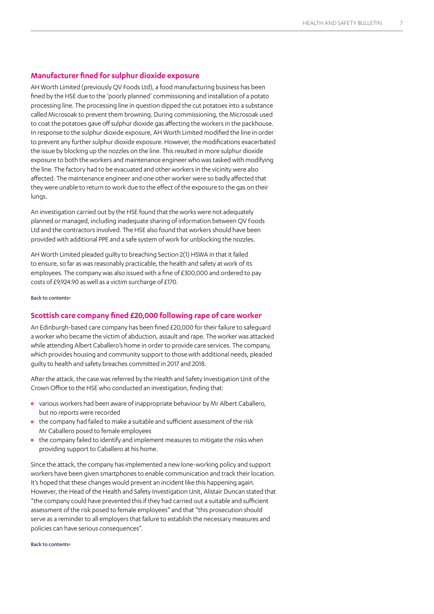## <span id="page-6-0"></span>**Manufacturer fined for sulphur dioxide exposure**

AH Worth Limited (previously QV Foods Ltd), a food manufacturing business has been fined by the HSE due to the 'poorly planned' commissioning and installation of a potato processing line. The processing line in question dipped the cut potatoes into a substance called Microsoak to prevent them browning. During commissioning, the Microsoak used to coat the potatoes gave off sulphur dioxide gas affecting the workers in the packhouse. In response to the sulphur dioxide exposure, AH Worth Limited modified the line in order to prevent any further sulphur dioxide exposure. However, the modifications exacerbated the issue by blocking up the nozzles on the line. This resulted in more sulphur dioxide exposure to both the workers and maintenance engineer who was tasked with modifying the line. The factory had to be evacuated and other workers in the vicinity were also affected. The maintenance engineer and one other worker were so badly affected that they were unable to return to work due to the effect of the exposure to the gas on their lungs.

An investigation carried out by the HSE found that the works were not adequately planned or managed, including inadequate sharing of information between QV Foods Ltd and the contractors involved. The HSE also found that workers should have been provided with additional PPE and a safe system of work for unblocking the nozzles.

AH Worth Limited pleaded guilty to breaching Section 2(1) HSWA in that it failed to ensure, so far as was reasonably practicable, the health and safety at work of its employees. The company was also issued with a fine of £300,000 and ordered to pay costs of £9,924.90 as well as a victim surcharge of £170.

#### [Back to contents>](#page-0-0)

#### **Scottish care company fined £20,000 following rape of care worker**

An Edinburgh-based care company has been fined £20,000 for their failure to safeguard a worker who became the victim of abduction, assault and rape. The worker was attacked while attending Albert Caballero's home in order to provide care services. The company, which provides housing and community support to those with additional needs, pleaded guilty to health and safety breaches committed in 2017 and 2018.

After the attack, the case was referred by the Health and Safety Investigation Unit of the Crown Office to the HSE who conducted an investigation, finding that:

- **•** various workers had been aware of inappropriate behaviour by Mr Albert Caballero, but no reports were recorded
- **•** the company had failed to make a suitable and sufficient assessment of the risk Mr Caballero posed to female employees
- **•** the company failed to identify and implement measures to mitigate the risks when providing support to Caballero at his home.

Since the attack, the company has implemented a new lone-working policy and support workers have been given smartphones to enable communication and track their location. It's hoped that these changes would prevent an incident like this happening again. However, the Head of the Health and Safety Investigation Unit, Alistair Duncan stated that "the company could have prevented this if they had carried out a suitable and sufficient assessment of the risk posed to female employees" and that "this prosecution should serve as a reminder to all employers that failure to establish the necessary measures and policies can have serious consequences".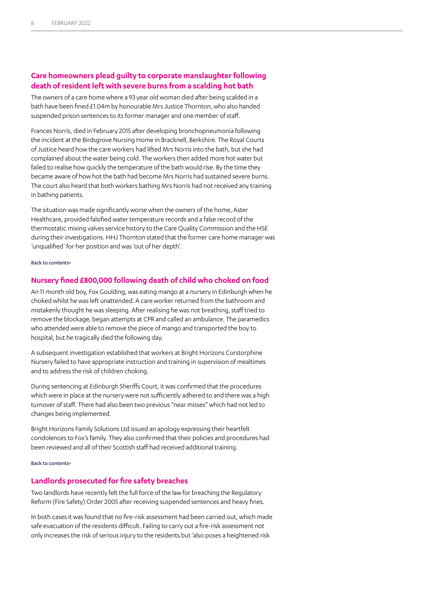# <span id="page-7-0"></span>**Care homeowners plead guilty to corporate manslaughter following death of resident left with severe burns from a scalding hot bath**

The owners of a care home where a 93 year old woman died after being scalded in a bath have been fined £1.04m by honourable Mrs Justice Thornton, who also handed suspended prison sentences to its former manager and one member of staff.

Frances Norris, died in February 2015 after developing bronchopneumonia following the incident at the Birdsgrove Nursing Home in Bracknell, Berkshire. The Royal Courts of Justice heard how the care workers had lifted Mrs Norris into the bath, but she had complained about the water being cold. The workers then added more hot water but failed to realise how quickly the temperature of the bath would rise. By the time they became aware of how hot the bath had become Mrs Norris had sustained severe burns. The court also heard that both workers bathing Mrs Norris had not received any training in bathing patients.

The situation was made significantly worse when the owners of the home, Aster Healthcare, provided falsified water temperature records and a false record of the thermostatic mixing valves service history to the Care Quality Commission and the HSE during their investigations. HHJ Thornton stated that the former care home manager was 'unqualified' for her position and was 'out of her depth'.

#### [Back to contents>](#page-0-0)

#### **Nursery fined £800,000 following death of child who choked on food**

An 11 month old boy, Fox Goulding, was eating mango at a nursery in Edinburgh when he choked whilst he was left unattended. A care worker returned from the bathroom and mistakenly thought he was sleeping. After realising he was not breathing, staff tried to remove the blockage, began attempts at CPR and called an ambulance. The paramedics who attended were able to remove the piece of mango and transported the boy to hospital, but he tragically died the following day.

A subsequent investigation established that workers at Bright Horizons Corstorphine Nursery failed to have appropriate instruction and training in supervision of mealtimes and to address the risk of children choking.

During sentencing at Edinburgh Sheriffs Court, it was confirmed that the procedures which were in place at the nursery were not sufficiently adhered to and there was a high turnover of staff. There had also been two previous "near misses" which had not led to changes being implemented.

Bright Horizons Family Solutions Ltd issued an apology expressing their heartfelt condolences to Fox's family. They also confirmed that their policies and procedures had been reviewed and all of their Scottish staff had received additional training.

#### [Back to contents>](#page-0-0)

#### <span id="page-7-1"></span>**Landlords prosecuted for fire safety breaches**

Two landlords have recently felt the full force of the law for breaching the Regulatory Reform (Fire Safety) Order 2005 after receiving suspended sentences and heavy fines.

In both cases it was found that no fire-risk assessment had been carried out, which made safe evacuation of the residents difficult. Failing to carry out a fire-risk assessment not only increases the risk of serious injury to the residents but 'also poses a heightened risk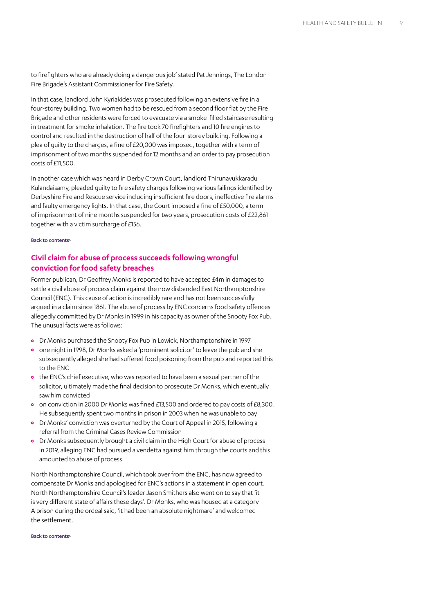to firefighters who are already doing a dangerous job' stated Pat Jennings, The London Fire Brigade's Assistant Commissioner for Fire Safety.

In that case, landlord John Kyriakides was prosecuted following an extensive fire in a four-storey building. Two women had to be rescued from a second floor flat by the Fire Brigade and other residents were forced to evacuate via a smoke-filled staircase resulting in treatment for smoke inhalation. The fire took 70 firefighters and 10 fire engines to control and resulted in the destruction of half of the four-storey building. Following a plea of guilty to the charges, a fine of £20,000 was imposed, together with a term of imprisonment of two months suspended for 12 months and an order to pay prosecution costs of £11,500.

In another case which was heard in Derby Crown Court, landlord Thirunavukkaradu Kulandaisamy, pleaded guilty to fire safety charges following various failings identified by Derbyshire Fire and Rescue service including insufficient fire doors, ineffective fire alarms and faulty emergency lights. In that case, the Court imposed a fine of £50,000, a term of imprisonment of nine months suspended for two years, prosecution costs of £22,861 together with a victim surcharge of £156.

[Back to contents>](#page-0-0)

# <span id="page-8-0"></span>**Civil claim for abuse of process succeeds following wrongful conviction for food safety breaches**

Former publican, Dr Geoffrey Monks is reported to have accepted £4m in damages to settle a civil abuse of process claim against the now disbanded East Northamptonshire Council (ENC). This cause of action is incredibly rare and has not been successfully argued in a claim since 1861. The abuse of process by ENC concerns food safety offences allegedly committed by Dr Monks in 1999 in his capacity as owner of the Snooty Fox Pub. The unusual facts were as follows:

- **•** Dr Monks purchased the Snooty Fox Pub in Lowick, Northamptonshire in 1997
- **•** one night in 1998, Dr Monks asked a 'prominent solicitor' to leave the pub and she subsequently alleged she had suffered food poisoning from the pub and reported this to the ENC
- **•** the ENC's chief executive, who was reported to have been a sexual partner of the solicitor, ultimately made the final decision to prosecute Dr Monks, which eventually saw him convicted
- **•** on conviction in 2000 Dr Monks was fined £13,500 and ordered to pay costs of £8,300. He subsequently spent two months in prison in 2003 when he was unable to pay
- **•** Dr Monks' conviction was overturned by the Court of Appeal in 2015, following a referral from the Criminal Cases Review Commission
- **•** Dr Monks subsequently brought a civil claim in the High Court for abuse of process in 2019, alleging ENC had pursued a vendetta against him through the courts and this amounted to abuse of process.

North Northamptonshire Council, which took over from the ENC, has now agreed to compensate Dr Monks and apologised for ENC's actions in a statement in open court. North Northamptonshire Council's leader Jason Smithers also went on to say that 'it is very different state of affairs these days'. Dr Monks, who was housed at a category A prison during the ordeal said, 'it had been an absolute nightmare' and welcomed the settlement.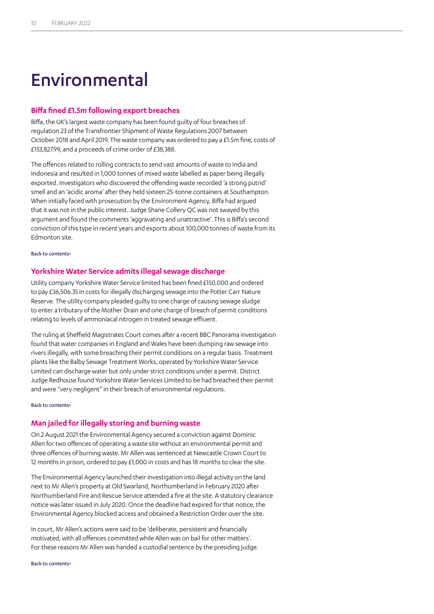# Environmental

### **Biffa fined £1.5m following export breaches**

Biffa, the UK's largest waste company has been found guilty of four breaches of regulation 23 of the Transfrontier Shipment of Waste Regulations 2007 between October 2018 and April 2019. The waste company was ordered to pay a £1.5m fine, costs of £153,827.99, and a proceeds of crime order of £38,388.

The offences related to rolling contracts to send vast amounts of waste to India and Indonesia and resulted in 1,000 tonnes of mixed waste labelled as paper being illegally exported. Investigators who discovered the offending waste recorded 'a strong putrid' smell and an 'acidic aroma' after they held sixteen 25-tonne containers at Southampton. When initially faced with prosecution by the Environment Agency, Biffa had argued that it was not in the public interest. Judge Shane Collery QC was not swayed by this argument and found the comments 'aggravating and unattractive'. This is Biffa's second conviction of this type in recent years and exports about 100,000 tonnes of waste from its Edmonton site.

[Back to contents>](#page-0-0)

## <span id="page-9-0"></span>**Yorkshire Water Service admits illegal sewage discharge**

Utility company Yorkshire Water Service limited has been fined £150,000 and ordered to pay £36,506.35 in costs for illegally discharging sewage into the Potter Carr Nature Reserve. The utility company pleaded guilty to one charge of causing sewage sludge to enter a tributary of the Mother Drain and one charge of breach of permit conditions relating to levels of ammoniacal nitrogen in treated sewage effluent.

The ruling at Sheffield Magistrates Court comes after a recent BBC Panorama investigation found that water companies in England and Wales have been dumping raw sewage into rivers illegally, with some breaching their permit conditions on a regular basis. Treatment plants like the Balby Sewage Treatment Works, operated by Yorkshire Water Service Limited can discharge water but only under strict conditions under a permit. District Judge Redhouse found Yorkshire Water Services Limited to be had breached their permit and were "very negligent" in their breach of environmental regulations.

[Back to contents>](#page-0-0)

## <span id="page-9-1"></span>**Man jailed for illegally storing and burning waste**

On 2 August 2021 the Environmental Agency secured a conviction against Dominic Allen for two offences of operating a waste site without an environmental permit and three offences of burning waste. Mr Allen was sentenced at Newcastle Crown Court to 12 months in prison, ordered to pay £1,000 in costs and has 18 months to clear the site.

The Environmental Agency launched their investigation into illegal activity on the land next to Mr Allen's property at Old Swarland, Northumberland in February 2020 after Northumberland Fire and Rescue Service attended a fire at the site. A statutory clearance notice was later issued in July 2020. Once the deadline had expired for that notice, the Environmental Agency blocked access and obtained a Restriction Order over the site.

In court, Mr Allen's actions were said to be 'deliberate, persistent and financially motivated, with all offences committed while Allen was on bail for other matters'. For these reasons Mr Allen was handed a custodial sentence by the presiding judge.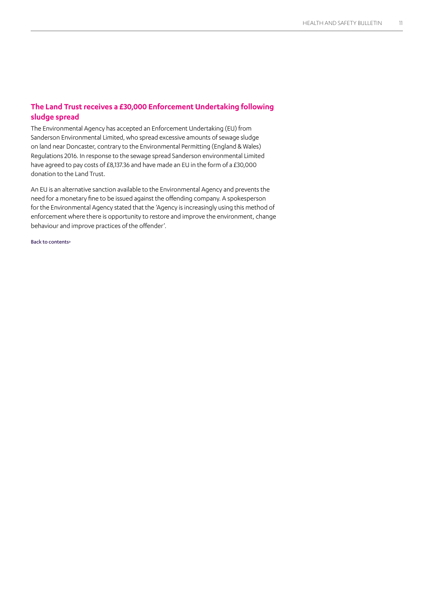# **The Land Trust receives a £30,000 Enforcement Undertaking following sludge spread**

The Environmental Agency has accepted an Enforcement Undertaking (EU) from Sanderson Environmental Limited, who spread excessive amounts of sewage sludge on land near Doncaster, contrary to the Environmental Permitting (England & Wales) Regulations 2016. In response to the sewage spread Sanderson environmental Limited have agreed to pay costs of £8,137.36 and have made an EU in the form of a £30,000 donation to the Land Trust.

An EU is an alternative sanction available to the Environmental Agency and prevents the need for a monetary fine to be issued against the offending company. A spokesperson for the Environmental Agency stated that the 'Agency is increasingly using this method of enforcement where there is opportunity to restore and improve the environment, change behaviour and improve practices of the offender'.